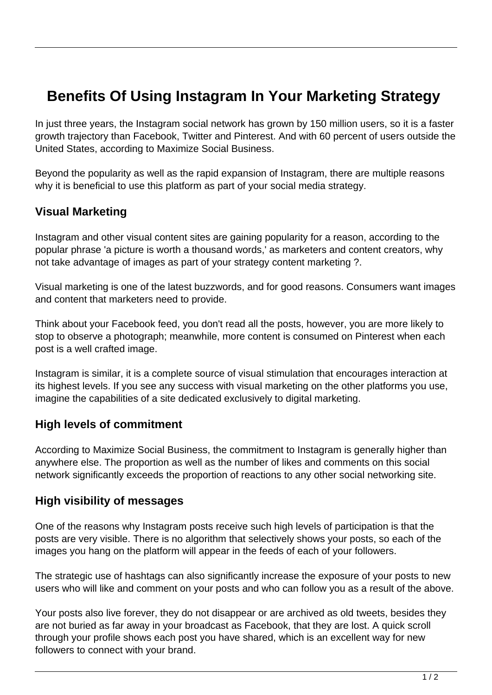# **Benefits Of Using Instagram In Your Marketing Strategy**

In just three years, the Instagram social network has grown by 150 million users, so it is a faster growth trajectory than Facebook, Twitter and Pinterest. And with 60 percent of users outside the United States, according to Maximize Social Business.

Beyond the popularity as well as the rapid expansion of Instagram, there are multiple reasons why it is beneficial to use this platform as part of your social media strategy.

### **Visual Marketing**

Instagram and other visual content sites are gaining popularity for a reason, according to the popular phrase 'a picture is worth a thousand words,' as marketers and content creators, why not take advantage of images as part of your strategy content marketing ?.

Visual marketing is one of the latest buzzwords, and for good reasons. Consumers want images and content that marketers need to provide.

Think about your Facebook feed, you don't read all the posts, however, you are more likely to stop to observe a photograph; meanwhile, more content is consumed on Pinterest when each post is a well crafted image.

Instagram is similar, it is a complete source of visual stimulation that encourages interaction at its highest levels. If you see any success with visual marketing on the other platforms you use, imagine the capabilities of a site dedicated exclusively to digital marketing.

#### **High levels of commitment**

According to Maximize Social Business, the commitment to Instagram is generally higher than anywhere else. The proportion as well as the number of likes and comments on this social network significantly exceeds the proportion of reactions to any other social networking site.

#### **High visibility of messages**

One of the reasons why Instagram posts receive such high levels of participation is that the posts are very visible. There is no algorithm that selectively shows your posts, so each of the images you hang on the platform will appear in the feeds of each of your followers.

The strategic use of hashtags can also significantly increase the exposure of your posts to new users who will like and comment on your posts and who can follow you as a result of the above.

Your posts also live forever, they do not disappear or are archived as old tweets, besides they are not buried as far away in your broadcast as Facebook, that they are lost. A quick scroll through your profile shows each post you have shared, which is an excellent way for new followers to connect with your brand.